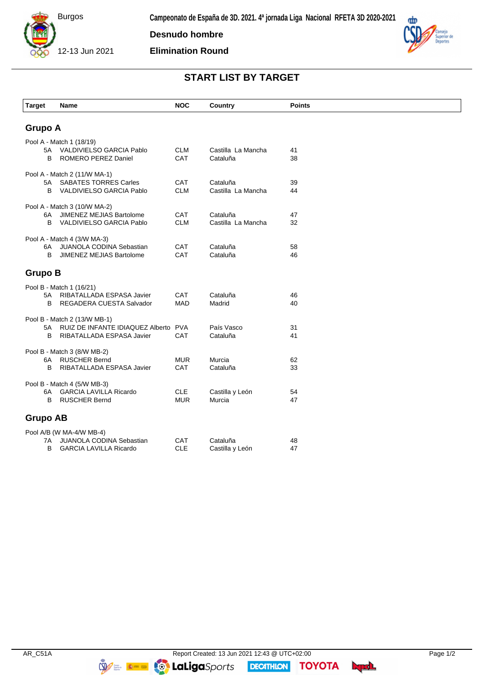

**Desnudo hombre**

**Elimination Round**



## **START LIST BY TARGET**

| <b>Target</b>                | Name                                                         | <b>NOC</b> | Country            | <b>Points</b> |  |  |  |
|------------------------------|--------------------------------------------------------------|------------|--------------------|---------------|--|--|--|
|                              |                                                              |            |                    |               |  |  |  |
| <b>Grupo A</b>               |                                                              |            |                    |               |  |  |  |
| Pool A - Match 1 (18/19)     |                                                              |            |                    |               |  |  |  |
| 5A                           | VALDIVIELSO GARCIA Pablo                                     | <b>CLM</b> | Castilla La Mancha | 41            |  |  |  |
| B                            | ROMERO PEREZ Daniel                                          | CAT        | Cataluña           | 38            |  |  |  |
| Pool A - Match 2 (11/W MA-1) |                                                              |            |                    |               |  |  |  |
| 5A                           | <b>SABATES TORRES Carles</b>                                 | CAT        | Cataluña           | 39            |  |  |  |
| B                            | VALDIVIELSO GARCIA Pablo                                     | <b>CLM</b> | Castilla La Mancha | 44            |  |  |  |
| Pool A - Match 3 (10/W MA-2) |                                                              |            |                    |               |  |  |  |
| 6A                           | JIMENEZ MEJIAS Bartolome                                     | CAT        | Cataluña           | 47            |  |  |  |
| B                            | VALDIVIELSO GARCIA Pablo                                     | <b>CLM</b> | Castilla La Mancha | 32            |  |  |  |
|                              | Pool A - Match 4 (3/W MA-3)                                  |            |                    |               |  |  |  |
| 6A                           | JUANOLA CODINA Sebastian                                     | CAT        | Cataluña           | 58            |  |  |  |
| B                            | JIMENEZ MEJIAS Bartolome                                     | CAT        | Cataluña           | 46            |  |  |  |
|                              |                                                              |            |                    |               |  |  |  |
| <b>Grupo B</b>               |                                                              |            |                    |               |  |  |  |
|                              | Pool B - Match 1 (16/21)                                     |            |                    |               |  |  |  |
| 5A                           | RIBATALLADA ESPASA Javier                                    | CAT        | Cataluña           | 46            |  |  |  |
| B                            | REGADERA CUESTA Salvador                                     | <b>MAD</b> | Madrid             | 40            |  |  |  |
| Pool B - Match 2 (13/W MB-1) |                                                              |            |                    |               |  |  |  |
| 5А                           | RUIZ DE INFANTE IDIAQUEZ Alberto PVA                         |            | País Vasco         | 31            |  |  |  |
| B                            | RIBATALLADA ESPASA Javier                                    | CAT        | Cataluña           | 41            |  |  |  |
| Pool B - Match 3 (8/W MB-2)  |                                                              |            |                    |               |  |  |  |
| 6A                           | <b>RUSCHER Bernd</b>                                         | <b>MUR</b> | Murcia             | 62            |  |  |  |
| B                            | RIBATALLADA ESPASA Javier                                    | CAT        | Cataluña           | 33            |  |  |  |
|                              |                                                              |            |                    |               |  |  |  |
| 6A                           | Pool B - Match 4 (5/W MB-3)<br><b>GARCIA LAVILLA Ricardo</b> | <b>CLE</b> | Castilla y León    | 54            |  |  |  |
| B                            | <b>RUSCHER Bernd</b>                                         | <b>MUR</b> | Murcia             | 47            |  |  |  |
|                              |                                                              |            |                    |               |  |  |  |
| <b>Grupo AB</b>              |                                                              |            |                    |               |  |  |  |
| Pool A/B (W MA-4/W MB-4)     |                                                              |            |                    |               |  |  |  |
| 7A                           | <b>JUANOLA CODINA Sebastian</b>                              | CAT        | Cataluña           | 48            |  |  |  |
| В                            | <b>GARCIA LAVILLA Ricardo</b>                                | <b>CLE</b> | Castilla y León    | 47            |  |  |  |

**DECATHION** 

**TOYOTA** byd